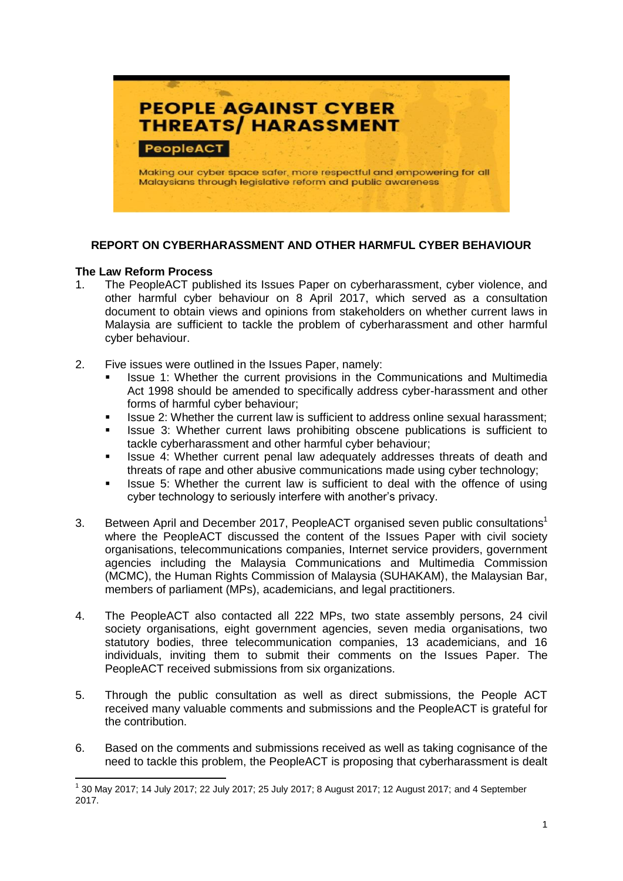

#### **REPORT ON CYBERHARASSMENT AND OTHER HARMFUL CYBER BEHAVIOUR**

#### **The Law Reform Process**

**.** 

- 1. The PeopleACT published its Issues Paper on cyberharassment, cyber violence, and other harmful cyber behaviour on 8 April 2017, which served as a consultation document to obtain views and opinions from stakeholders on whether current laws in Malaysia are sufficient to tackle the problem of cyberharassment and other harmful cyber behaviour.
- 2. Five issues were outlined in the Issues Paper, namely:
	- Issue 1: Whether the current provisions in the Communications and Multimedia Act 1998 should be amended to specifically address cyber-harassment and other forms of harmful cyber behaviour;
	- Issue 2: Whether the current law is sufficient to address online sexual harassment;
	- Issue 3: Whether current laws prohibiting obscene publications is sufficient to tackle cyberharassment and other harmful cyber behaviour;
	- Issue 4: Whether current penal law adequately addresses threats of death and threats of rape and other abusive communications made using cyber technology;
	- Issue 5: Whether the current law is sufficient to deal with the offence of using cyber technology to seriously interfere with another's privacy.
- 3. Between April and December 2017, PeopleACT organised seven public consultations<sup>1</sup> where the PeopleACT discussed the content of the Issues Paper with civil society organisations, telecommunications companies, Internet service providers, government agencies including the Malaysia Communications and Multimedia Commission (MCMC), the Human Rights Commission of Malaysia (SUHAKAM), the Malaysian Bar, members of parliament (MPs), academicians, and legal practitioners.
- 4. The PeopleACT also contacted all 222 MPs, two state assembly persons, 24 civil society organisations, eight government agencies, seven media organisations, two statutory bodies, three telecommunication companies, 13 academicians, and 16 individuals, inviting them to submit their comments on the Issues Paper. The PeopleACT received submissions from six organizations.
- 5. Through the public consultation as well as direct submissions, the People ACT received many valuable comments and submissions and the PeopleACT is grateful for the contribution.
- 6. Based on the comments and submissions received as well as taking cognisance of the need to tackle this problem, the PeopleACT is proposing that cyberharassment is dealt

<sup>&</sup>lt;sup>1</sup> 30 May 2017; 14 July 2017; 22 July 2017; 25 July 2017; 8 August 2017; 12 August 2017; and 4 September 2017.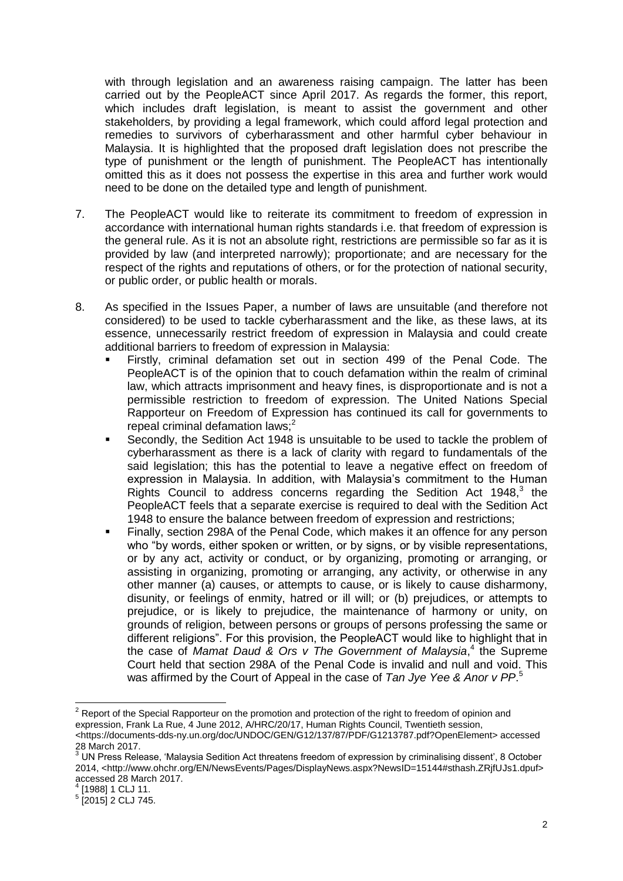with through legislation and an awareness raising campaign. The latter has been carried out by the PeopleACT since April 2017. As regards the former, this report, which includes draft legislation, is meant to assist the government and other stakeholders, by providing a legal framework, which could afford legal protection and remedies to survivors of cyberharassment and other harmful cyber behaviour in Malaysia. It is highlighted that the proposed draft legislation does not prescribe the type of punishment or the length of punishment. The PeopleACT has intentionally omitted this as it does not possess the expertise in this area and further work would need to be done on the detailed type and length of punishment.

- 7. The PeopleACT would like to reiterate its commitment to freedom of expression in accordance with international human rights standards i.e. that freedom of expression is the general rule. As it is not an absolute right, restrictions are permissible so far as it is provided by law (and interpreted narrowly); proportionate; and are necessary for the respect of the rights and reputations of others, or for the protection of national security, or public order, or public health or morals.
- 8. As specified in the Issues Paper, a number of laws are unsuitable (and therefore not considered) to be used to tackle cyberharassment and the like, as these laws, at its essence, unnecessarily restrict freedom of expression in Malaysia and could create additional barriers to freedom of expression in Malaysia:
	- Firstly, criminal defamation set out in section 499 of the Penal Code. The PeopleACT is of the opinion that to couch defamation within the realm of criminal law, which attracts imprisonment and heavy fines, is disproportionate and is not a permissible restriction to freedom of expression. The United Nations Special Rapporteur on Freedom of Expression has continued its call for governments to repeal criminal defamation laws; $<sup>2</sup>$ </sup>
	- Secondly, the Sedition Act 1948 is unsuitable to be used to tackle the problem of cyberharassment as there is a lack of clarity with regard to fundamentals of the said legislation; this has the potential to leave a negative effect on freedom of expression in Malaysia. In addition, with Malaysia's commitment to the Human Rights Council to address concerns regarding the Sedition Act 1948, $3$  the PeopleACT feels that a separate exercise is required to deal with the Sedition Act 1948 to ensure the balance between freedom of expression and restrictions;
	- Finally, section 298A of the Penal Code, which makes it an offence for any person who "by words, either spoken or written, or by signs, or by visible representations, or by any act, activity or conduct, or by organizing, promoting or arranging, or assisting in organizing, promoting or arranging, any activity, or otherwise in any other manner (a) causes, or attempts to cause, or is likely to cause disharmony, disunity, or feelings of enmity, hatred or ill will; or (b) prejudices, or attempts to prejudice, or is likely to prejudice, the maintenance of harmony or unity, on grounds of religion, between persons or groups of persons professing the same or different religions". For this provision, the PeopleACT would like to highlight that in the case of *Mamat Daud & Ors v The Government of Malaysia*, 4 the Supreme Court held that section 298A of the Penal Code is invalid and null and void. This was affirmed by the Court of Appeal in the case of *Tan Jye Yee & Anor v PP*. 5

**.** 

 $2$  Report of the Special Rapporteur on the promotion and protection of the right to freedom of opinion and expression, Frank La Rue, 4 June 2012, A/HRC/20/17, Human Rights Council, Twentieth session, <https://documents-dds-ny.un.org/doc/UNDOC/GEN/G12/137/87/PDF/G1213787.pdf?OpenElement> accessed

<sup>28</sup> March 2017.

 $^3$  UN Press Release, 'Malaysia Sedition Act threatens freedom of expression by criminalising dissent', 8 October 2014, <http://www.ohchr.org/EN/NewsEvents/Pages/DisplayNews.aspx?NewsID=15144#sthash.ZRjfUJs1.dpuf> accessed 28 March 2017.

<sup>4</sup> [1988] 1 CLJ 11.

<sup>5</sup> [2015] 2 CLJ 745.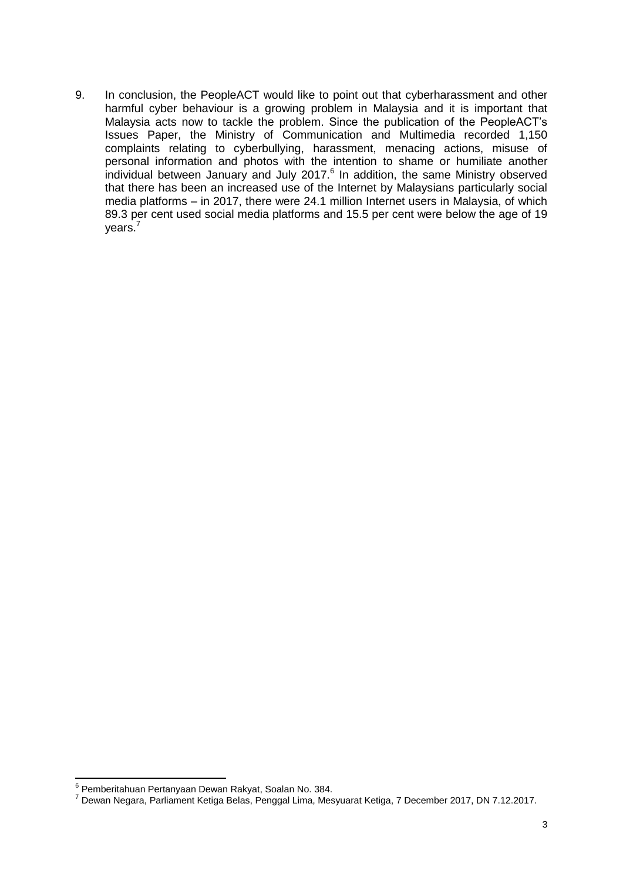9. In conclusion, the PeopleACT would like to point out that cyberharassment and other harmful cyber behaviour is a growing problem in Malaysia and it is important that Malaysia acts now to tackle the problem. Since the publication of the PeopleACT's Issues Paper, the Ministry of Communication and Multimedia recorded 1,150 complaints relating to cyberbullying, harassment, menacing actions, misuse of personal information and photos with the intention to shame or humiliate another individual between January and July 2017. $<sup>6</sup>$  In addition, the same Ministry observed</sup> that there has been an increased use of the Internet by Malaysians particularly social media platforms – in 2017, there were 24.1 million Internet users in Malaysia, of which 89.3 per cent used social media platforms and 15.5 per cent were below the age of 19 years.<sup>7</sup>

 6 Pemberitahuan Pertanyaan Dewan Rakyat, Soalan No. 384.

<sup>7</sup> Dewan Negara, Parliament Ketiga Belas, Penggal Lima, Mesyuarat Ketiga, 7 December 2017, DN 7.12.2017.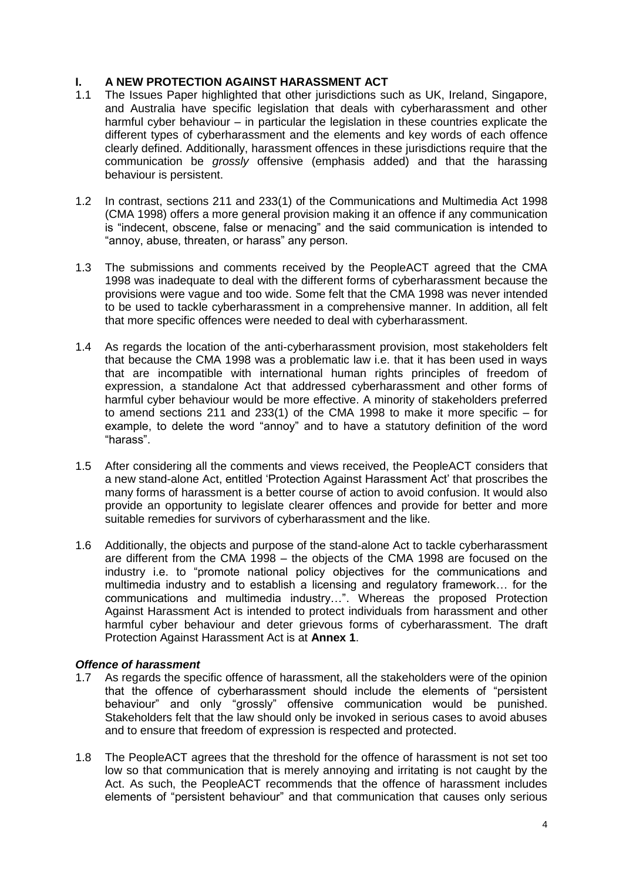#### **I. A NEW PROTECTION AGAINST HARASSMENT ACT**

- 1.1 The Issues Paper highlighted that other jurisdictions such as UK, Ireland, Singapore, and Australia have specific legislation that deals with cyberharassment and other harmful cyber behaviour – in particular the legislation in these countries explicate the different types of cyberharassment and the elements and key words of each offence clearly defined. Additionally, harassment offences in these jurisdictions require that the communication be *grossly* offensive (emphasis added) and that the harassing behaviour is persistent.
- 1.2 In contrast, sections 211 and 233(1) of the Communications and Multimedia Act 1998 (CMA 1998) offers a more general provision making it an offence if any communication is "indecent, obscene, false or menacing" and the said communication is intended to "annoy, abuse, threaten, or harass" any person.
- 1.3 The submissions and comments received by the PeopleACT agreed that the CMA 1998 was inadequate to deal with the different forms of cyberharassment because the provisions were vague and too wide. Some felt that the CMA 1998 was never intended to be used to tackle cyberharassment in a comprehensive manner. In addition, all felt that more specific offences were needed to deal with cyberharassment.
- 1.4 As regards the location of the anti-cyberharassment provision, most stakeholders felt that because the CMA 1998 was a problematic law i.e. that it has been used in ways that are incompatible with international human rights principles of freedom of expression, a standalone Act that addressed cyberharassment and other forms of harmful cyber behaviour would be more effective. A minority of stakeholders preferred to amend sections 211 and 233(1) of the CMA 1998 to make it more specific – for example, to delete the word "annoy" and to have a statutory definition of the word "harass".
- 1.5 After considering all the comments and views received, the PeopleACT considers that a new stand-alone Act, entitled 'Protection Against Harassment Act' that proscribes the many forms of harassment is a better course of action to avoid confusion. It would also provide an opportunity to legislate clearer offences and provide for better and more suitable remedies for survivors of cyberharassment and the like.
- 1.6 Additionally, the objects and purpose of the stand-alone Act to tackle cyberharassment are different from the CMA 1998 – the objects of the CMA 1998 are focused on the industry i.e. to "promote national policy objectives for the communications and multimedia industry and to establish a licensing and regulatory framework… for the communications and multimedia industry…". Whereas the proposed Protection Against Harassment Act is intended to protect individuals from harassment and other harmful cyber behaviour and deter grievous forms of cyberharassment. The draft Protection Against Harassment Act is at **Annex 1**.

#### *Offence of harassment*

- 1.7 As regards the specific offence of harassment, all the stakeholders were of the opinion that the offence of cyberharassment should include the elements of "persistent behaviour" and only "grossly" offensive communication would be punished. Stakeholders felt that the law should only be invoked in serious cases to avoid abuses and to ensure that freedom of expression is respected and protected.
- 1.8 The PeopleACT agrees that the threshold for the offence of harassment is not set too low so that communication that is merely annoying and irritating is not caught by the Act. As such, the PeopleACT recommends that the offence of harassment includes elements of "persistent behaviour" and that communication that causes only serious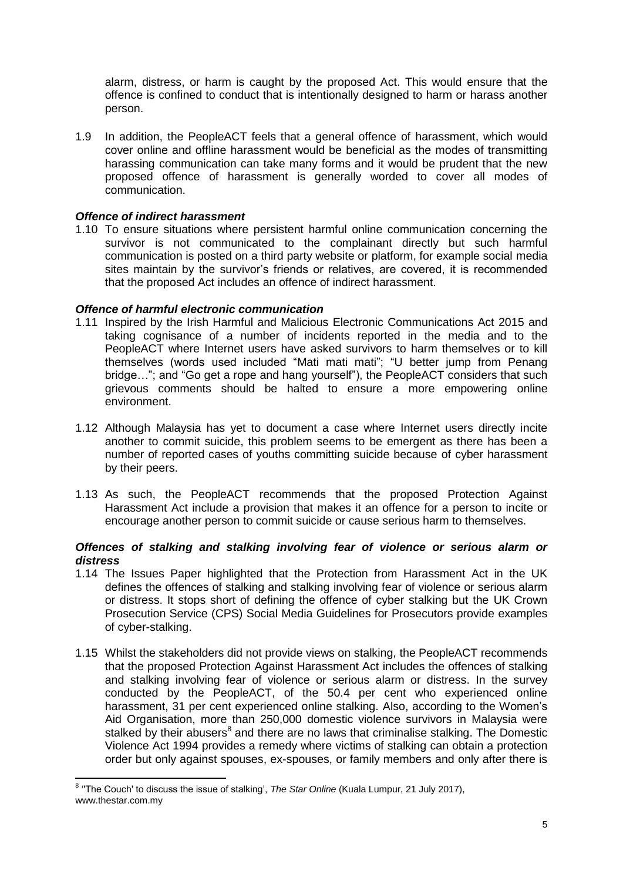alarm, distress, or harm is caught by the proposed Act. This would ensure that the offence is confined to conduct that is intentionally designed to harm or harass another person.

1.9 In addition, the PeopleACT feels that a general offence of harassment, which would cover online and offline harassment would be beneficial as the modes of transmitting harassing communication can take many forms and it would be prudent that the new proposed offence of harassment is generally worded to cover all modes of communication.

#### *Offence of indirect harassment*

1.10 To ensure situations where persistent harmful online communication concerning the survivor is not communicated to the complainant directly but such harmful communication is posted on a third party website or platform, for example social media sites maintain by the survivor's friends or relatives, are covered, it is recommended that the proposed Act includes an offence of indirect harassment.

#### *Offence of harmful electronic communication*

- 1.11 Inspired by the Irish Harmful and Malicious Electronic Communications Act 2015 and taking cognisance of a number of incidents reported in the media and to the PeopleACT where Internet users have asked survivors to harm themselves or to kill themselves (words used included "Mati mati mati"; "U better jump from Penang bridge…"; and "Go get a rope and hang yourself"), the PeopleACT considers that such grievous comments should be halted to ensure a more empowering online environment.
- 1.12 Although Malaysia has yet to document a case where Internet users directly incite another to commit suicide, this problem seems to be emergent as there has been a number of reported cases of youths committing suicide because of cyber harassment by their peers.
- 1.13 As such, the PeopleACT recommends that the proposed Protection Against Harassment Act include a provision that makes it an offence for a person to incite or encourage another person to commit suicide or cause serious harm to themselves.

#### *Offences of stalking and stalking involving fear of violence or serious alarm or distress*

- 1.14 The Issues Paper highlighted that the Protection from Harassment Act in the UK defines the offences of stalking and stalking involving fear of violence or serious alarm or distress. It stops short of defining the offence of cyber stalking but the UK Crown Prosecution Service (CPS) Social Media Guidelines for Prosecutors provide examples of cyber-stalking.
- 1.15 Whilst the stakeholders did not provide views on stalking, the PeopleACT recommends that the proposed Protection Against Harassment Act includes the offences of stalking and stalking involving fear of violence or serious alarm or distress. In the survey conducted by the PeopleACT, of the 50.4 per cent who experienced online harassment, 31 per cent experienced online stalking. Also, according to the Women's Aid Organisation, more than 250,000 domestic violence survivors in Malaysia were stalked by their abusers<sup>8</sup> and there are no laws that criminalise stalking. The Domestic Violence Act 1994 provides a remedy where victims of stalking can obtain a protection order but only against spouses, ex-spouses, or family members and only after there is

 8 ''The Couch' to discuss the issue of stalking', *The Star Online* (Kuala Lumpur, 21 July 2017), www.thestar.com.my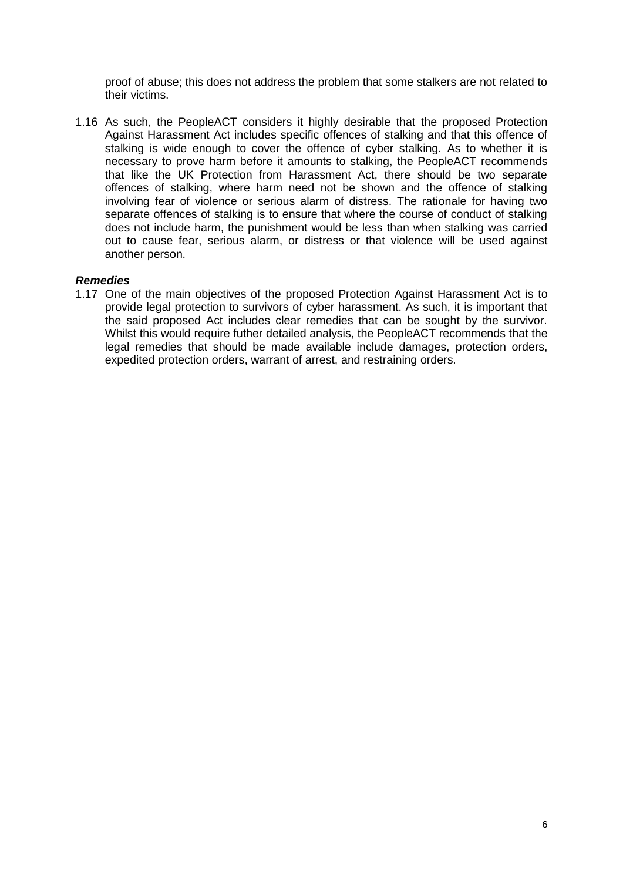proof of abuse; this does not address the problem that some stalkers are not related to their victims.

1.16 As such, the PeopleACT considers it highly desirable that the proposed Protection Against Harassment Act includes specific offences of stalking and that this offence of stalking is wide enough to cover the offence of cyber stalking. As to whether it is necessary to prove harm before it amounts to stalking, the PeopleACT recommends that like the UK Protection from Harassment Act, there should be two separate offences of stalking, where harm need not be shown and the offence of stalking involving fear of violence or serious alarm of distress. The rationale for having two separate offences of stalking is to ensure that where the course of conduct of stalking does not include harm, the punishment would be less than when stalking was carried out to cause fear, serious alarm, or distress or that violence will be used against another person.

#### *Remedies*

1.17 One of the main objectives of the proposed Protection Against Harassment Act is to provide legal protection to survivors of cyber harassment. As such, it is important that the said proposed Act includes clear remedies that can be sought by the survivor. Whilst this would require futher detailed analysis, the PeopleACT recommends that the legal remedies that should be made available include damages, protection orders, expedited protection orders, warrant of arrest, and restraining orders.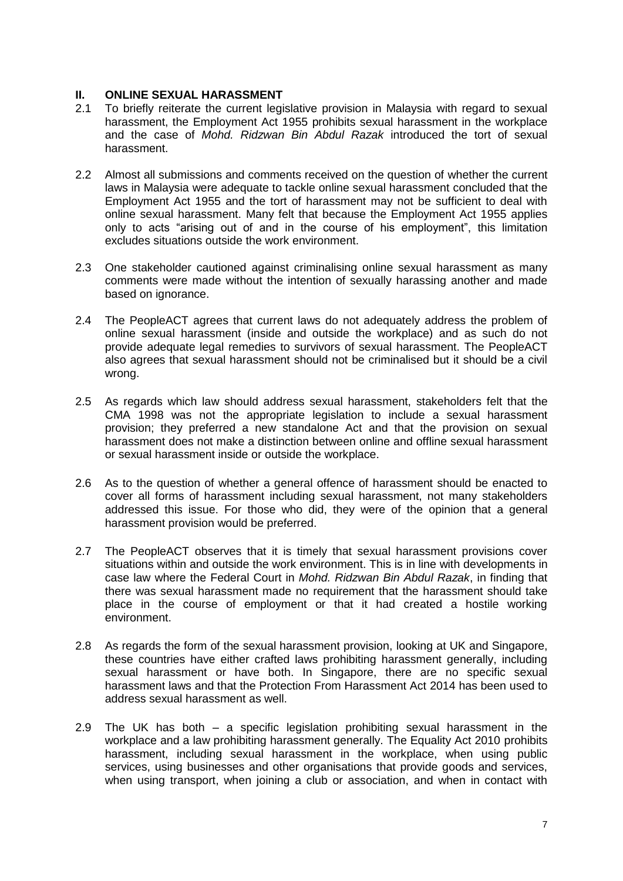#### **II. ONLINE SEXUAL HARASSMENT**

- 2.1 To briefly reiterate the current legislative provision in Malaysia with regard to sexual harassment, the Employment Act 1955 prohibits sexual harassment in the workplace and the case of *Mohd. Ridzwan Bin Abdul Razak* introduced the tort of sexual harassment.
- 2.2 Almost all submissions and comments received on the question of whether the current laws in Malaysia were adequate to tackle online sexual harassment concluded that the Employment Act 1955 and the tort of harassment may not be sufficient to deal with online sexual harassment. Many felt that because the Employment Act 1955 applies only to acts "arising out of and in the course of his employment", this limitation excludes situations outside the work environment.
- 2.3 One stakeholder cautioned against criminalising online sexual harassment as many comments were made without the intention of sexually harassing another and made based on ignorance.
- 2.4 The PeopleACT agrees that current laws do not adequately address the problem of online sexual harassment (inside and outside the workplace) and as such do not provide adequate legal remedies to survivors of sexual harassment. The PeopleACT also agrees that sexual harassment should not be criminalised but it should be a civil wrong.
- 2.5 As regards which law should address sexual harassment, stakeholders felt that the CMA 1998 was not the appropriate legislation to include a sexual harassment provision; they preferred a new standalone Act and that the provision on sexual harassment does not make a distinction between online and offline sexual harassment or sexual harassment inside or outside the workplace.
- 2.6 As to the question of whether a general offence of harassment should be enacted to cover all forms of harassment including sexual harassment, not many stakeholders addressed this issue. For those who did, they were of the opinion that a general harassment provision would be preferred.
- 2.7 The PeopleACT observes that it is timely that sexual harassment provisions cover situations within and outside the work environment. This is in line with developments in case law where the Federal Court in *Mohd. Ridzwan Bin Abdul Razak*, in finding that there was sexual harassment made no requirement that the harassment should take place in the course of employment or that it had created a hostile working environment.
- 2.8 As regards the form of the sexual harassment provision, looking at UK and Singapore, these countries have either crafted laws prohibiting harassment generally, including sexual harassment or have both. In Singapore, there are no specific sexual harassment laws and that the Protection From Harassment Act 2014 has been used to address sexual harassment as well.
- 2.9 The UK has both a specific legislation prohibiting sexual harassment in the workplace and a law prohibiting harassment generally. The Equality Act 2010 prohibits harassment, including sexual harassment in the workplace, when using public services, using businesses and other organisations that provide goods and services, when using transport, when joining a club or association, and when in contact with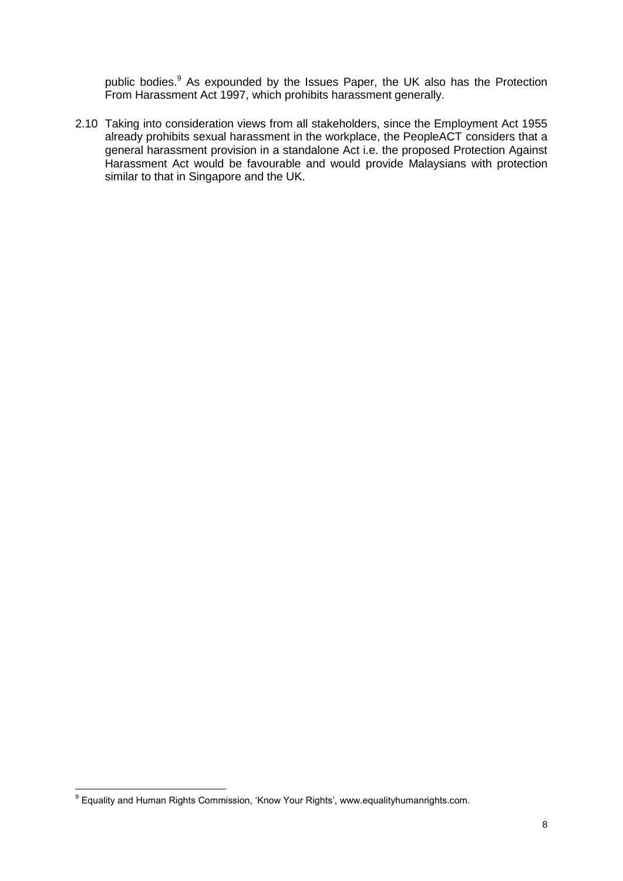public bodies.<sup>9</sup> As expounded by the Issues Paper, the UK also has the Protection From Harassment Act 1997, which prohibits harassment generally.

2.10 Taking into consideration views from all stakeholders, since the Employment Act 1955 already prohibits sexual harassment in the workplace, the PeopleACT considers that a general harassment provision in a standalone Act i.e. the proposed Protection Against Harassment Act would be favourable and would provide Malaysians with protection similar to that in Singapore and the UK.

 9 Equality and Human Rights Commission, 'Know Your Rights', www.equalityhumanrights.com.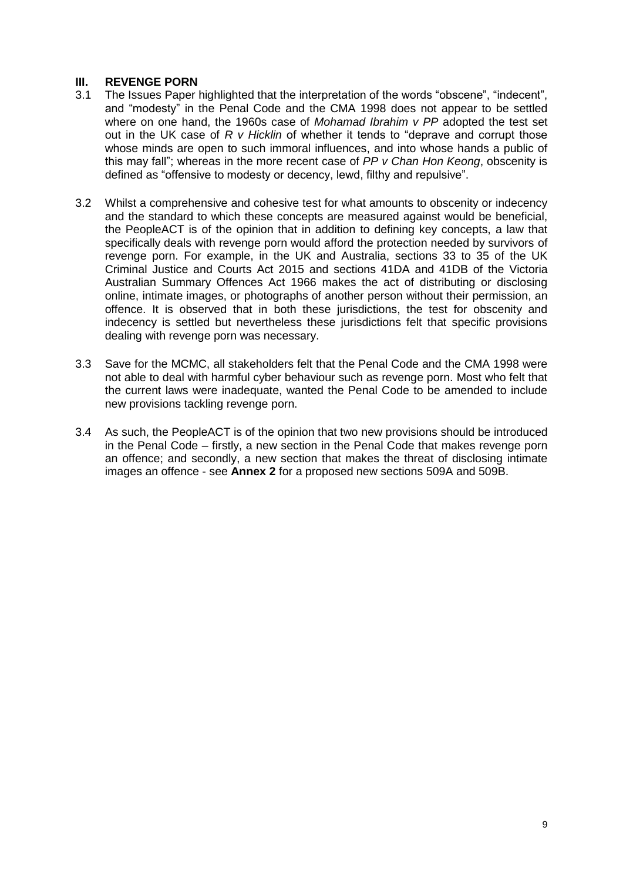#### **III. REVENGE PORN**

- 3.1 The Issues Paper highlighted that the interpretation of the words "obscene", "indecent", and "modesty" in the Penal Code and the CMA 1998 does not appear to be settled where on one hand, the 1960s case of *Mohamad Ibrahim v PP* adopted the test set out in the UK case of *R v Hicklin* of whether it tends to "deprave and corrupt those whose minds are open to such immoral influences, and into whose hands a public of this may fall"; whereas in the more recent case of *PP v Chan Hon Keong*, obscenity is defined as "offensive to modesty or decency, lewd, filthy and repulsive".
- 3.2 Whilst a comprehensive and cohesive test for what amounts to obscenity or indecency and the standard to which these concepts are measured against would be beneficial, the PeopleACT is of the opinion that in addition to defining key concepts, a law that specifically deals with revenge porn would afford the protection needed by survivors of revenge porn. For example, in the UK and Australia, sections 33 to 35 of the UK Criminal Justice and Courts Act 2015 and sections 41DA and 41DB of the Victoria Australian Summary Offences Act 1966 makes the act of distributing or disclosing online, intimate images, or photographs of another person without their permission, an offence. It is observed that in both these jurisdictions, the test for obscenity and indecency is settled but nevertheless these jurisdictions felt that specific provisions dealing with revenge porn was necessary.
- 3.3 Save for the MCMC, all stakeholders felt that the Penal Code and the CMA 1998 were not able to deal with harmful cyber behaviour such as revenge porn. Most who felt that the current laws were inadequate, wanted the Penal Code to be amended to include new provisions tackling revenge porn.
- 3.4 As such, the PeopleACT is of the opinion that two new provisions should be introduced in the Penal Code – firstly, a new section in the Penal Code that makes revenge porn an offence; and secondly, a new section that makes the threat of disclosing intimate images an offence - see **Annex 2** for a proposed new sections 509A and 509B.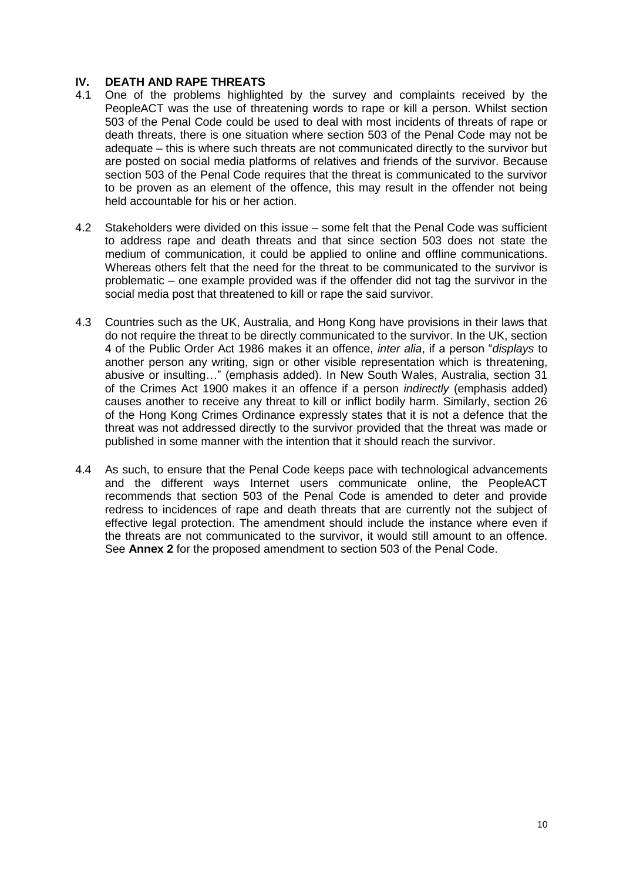#### **IV. DEATH AND RAPE THREATS**

- 4.1 One of the problems highlighted by the survey and complaints received by the PeopleACT was the use of threatening words to rape or kill a person. Whilst section 503 of the Penal Code could be used to deal with most incidents of threats of rape or death threats, there is one situation where section 503 of the Penal Code may not be adequate – this is where such threats are not communicated directly to the survivor but are posted on social media platforms of relatives and friends of the survivor. Because section 503 of the Penal Code requires that the threat is communicated to the survivor to be proven as an element of the offence, this may result in the offender not being held accountable for his or her action.
- 4.2 Stakeholders were divided on this issue some felt that the Penal Code was sufficient to address rape and death threats and that since section 503 does not state the medium of communication, it could be applied to online and offline communications. Whereas others felt that the need for the threat to be communicated to the survivor is problematic – one example provided was if the offender did not tag the survivor in the social media post that threatened to kill or rape the said survivor.
- 4.3 Countries such as the UK, Australia, and Hong Kong have provisions in their laws that do not require the threat to be directly communicated to the survivor. In the UK, section 4 of the Public Order Act 1986 makes it an offence, *inter alia*, if a person "*displays* to another person any writing, sign or other visible representation which is threatening, abusive or insulting…" (emphasis added). In New South Wales, Australia, section 31 of the Crimes Act 1900 makes it an offence if a person *indirectly* (emphasis added) causes another to receive any threat to kill or inflict bodily harm. Similarly, section 26 of the Hong Kong Crimes Ordinance expressly states that it is not a defence that the threat was not addressed directly to the survivor provided that the threat was made or published in some manner with the intention that it should reach the survivor.
- 4.4 As such, to ensure that the Penal Code keeps pace with technological advancements and the different ways Internet users communicate online, the PeopleACT recommends that section 503 of the Penal Code is amended to deter and provide redress to incidences of rape and death threats that are currently not the subject of effective legal protection. The amendment should include the instance where even if the threats are not communicated to the survivor, it would still amount to an offence. See **Annex 2** for the proposed amendment to section 503 of the Penal Code.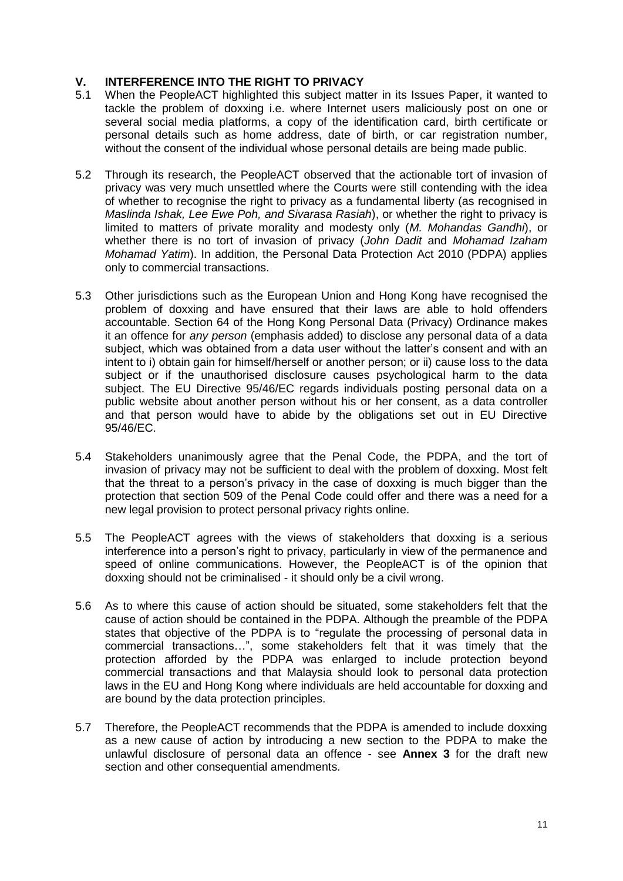#### **V. INTERFERENCE INTO THE RIGHT TO PRIVACY**

- 5.1 When the PeopleACT highlighted this subject matter in its Issues Paper, it wanted to tackle the problem of doxxing i.e. where Internet users maliciously post on one or several social media platforms, a copy of the identification card, birth certificate or personal details such as home address, date of birth, or car registration number, without the consent of the individual whose personal details are being made public.
- 5.2 Through its research, the PeopleACT observed that the actionable tort of invasion of privacy was very much unsettled where the Courts were still contending with the idea of whether to recognise the right to privacy as a fundamental liberty (as recognised in *Maslinda Ishak, Lee Ewe Poh, and Sivarasa Rasiah*), or whether the right to privacy is limited to matters of private morality and modesty only (*M. Mohandas Gandhi*), or whether there is no tort of invasion of privacy (*John Dadit* and *Mohamad Izaham Mohamad Yatim*). In addition, the Personal Data Protection Act 2010 (PDPA) applies only to commercial transactions.
- 5.3 Other jurisdictions such as the European Union and Hong Kong have recognised the problem of doxxing and have ensured that their laws are able to hold offenders accountable. Section 64 of the Hong Kong Personal Data (Privacy) Ordinance makes it an offence for *any person* (emphasis added) to disclose any personal data of a data subject, which was obtained from a data user without the latter's consent and with an intent to i) obtain gain for himself/herself or another person; or ii) cause loss to the data subject or if the unauthorised disclosure causes psychological harm to the data subject. The EU Directive 95/46/EC regards individuals posting personal data on a public website about another person without his or her consent, as a data controller and that person would have to abide by the obligations set out in EU Directive 95/46/EC.
- 5.4 Stakeholders unanimously agree that the Penal Code, the PDPA, and the tort of invasion of privacy may not be sufficient to deal with the problem of doxxing. Most felt that the threat to a person's privacy in the case of doxxing is much bigger than the protection that section 509 of the Penal Code could offer and there was a need for a new legal provision to protect personal privacy rights online.
- 5.5 The PeopleACT agrees with the views of stakeholders that doxxing is a serious interference into a person's right to privacy, particularly in view of the permanence and speed of online communications. However, the PeopleACT is of the opinion that doxxing should not be criminalised - it should only be a civil wrong.
- 5.6 As to where this cause of action should be situated, some stakeholders felt that the cause of action should be contained in the PDPA. Although the preamble of the PDPA states that objective of the PDPA is to "regulate the processing of personal data in commercial transactions…", some stakeholders felt that it was timely that the protection afforded by the PDPA was enlarged to include protection beyond commercial transactions and that Malaysia should look to personal data protection laws in the EU and Hong Kong where individuals are held accountable for doxxing and are bound by the data protection principles.
- 5.7 Therefore, the PeopleACT recommends that the PDPA is amended to include doxxing as a new cause of action by introducing a new section to the PDPA to make the unlawful disclosure of personal data an offence - see **Annex 3** for the draft new section and other consequential amendments.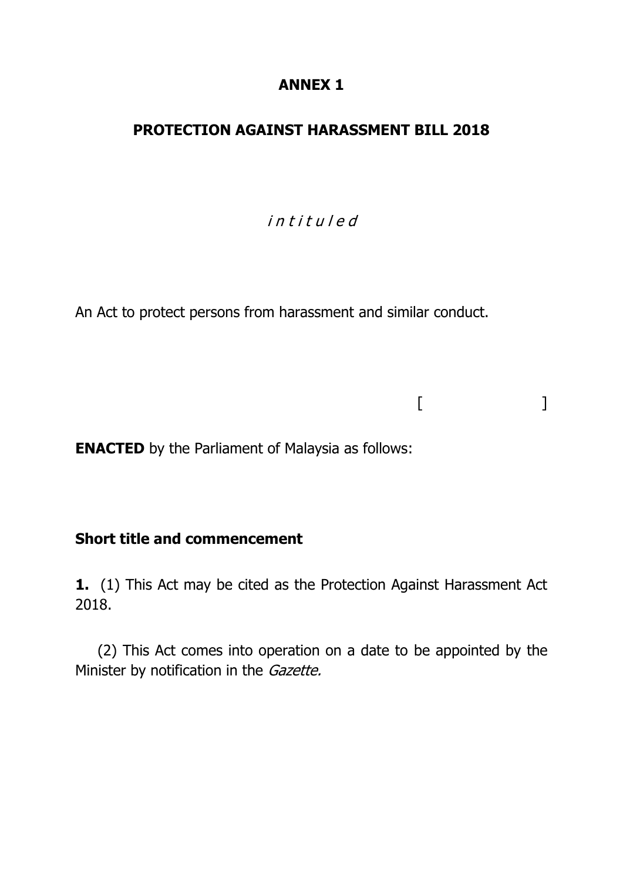### **ANNEX 1**

## **PROTECTION AGAINST HARASSMENT BILL 2018**

# i n t i t u l e d

 $[$   $]$ 

An Act to protect persons from harassment and similar conduct.

**ENACTED** by the Parliament of Malaysia as follows:

### **Short title and commencement**

**1.** (1) This Act may be cited as the Protection Against Harassment Act 2018.

(2) This Act comes into operation on a date to be appointed by the Minister by notification in the Gazette.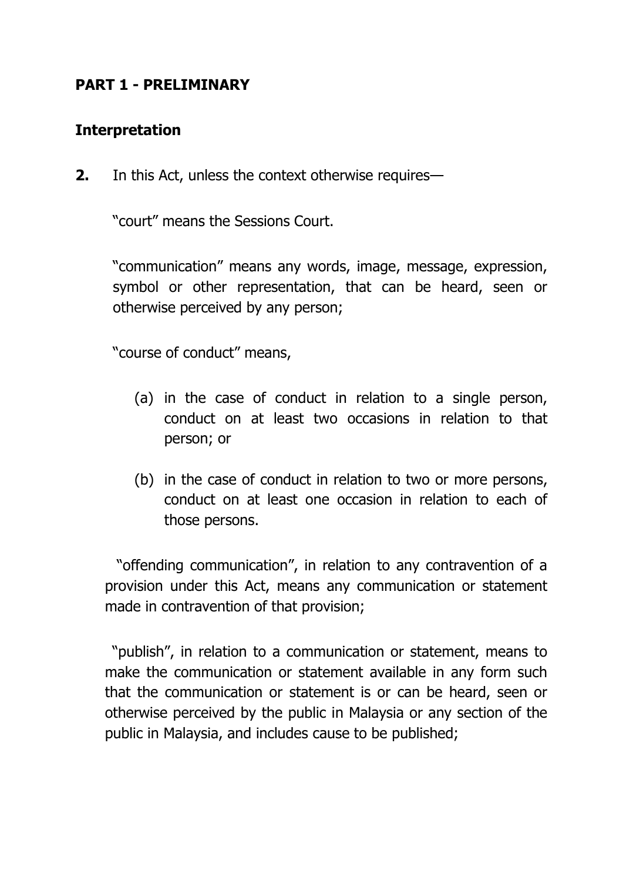# **PART 1 - PRELIMINARY**

### **Interpretation**

**2.** In this Act, unless the context otherwise requires—

"court" means the Sessions Court.

"communication" means any words, image, message, expression, symbol or other representation, that can be heard, seen or otherwise perceived by any person;

"course of conduct" means,

- (a) in the case of conduct in relation to a single person, conduct on at least two occasions in relation to that person; or
- (b) in the case of conduct in relation to two or more persons, conduct on at least one occasion in relation to each of those persons.

"offending communication", in relation to any contravention of a provision under this Act, means any communication or statement made in contravention of that provision;

"publish", in relation to a communication or statement, means to make the communication or statement available in any form such that the communication or statement is or can be heard, seen or otherwise perceived by the public in Malaysia or any section of the public in Malaysia, and includes cause to be published;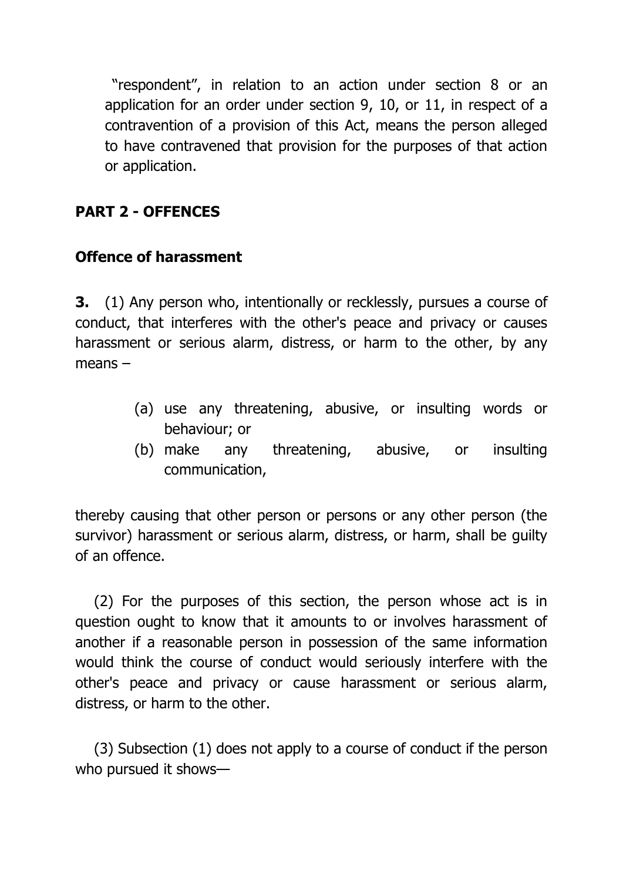"respondent", in relation to an action under section 8 or an application for an order under section 9, 10, or 11, in respect of a contravention of a provision of this Act, means the person alleged to have contravened that provision for the purposes of that action or application.

# **PART 2 - OFFENCES**

# **Offence of harassment**

**3.** (1) Any person who, intentionally or recklessly, pursues a course of conduct, that interferes with the other's peace and privacy or causes harassment or serious alarm, distress, or harm to the other, by any means –

- (a) use any threatening, abusive, or insulting words or behaviour; or
- (b) make any threatening, abusive, or insulting communication,

thereby causing that other person or persons or any other person (the survivor) harassment or serious alarm, distress, or harm, shall be guilty of an offence.

(2) For the purposes of this section, the person whose act is in question ought to know that it amounts to or involves harassment of another if a reasonable person in possession of the same information would think the course of conduct would seriously interfere with the other's peace and privacy or cause harassment or serious alarm, distress, or harm to the other.

(3) Subsection (1) does not apply to a course of conduct if the person who pursued it shows—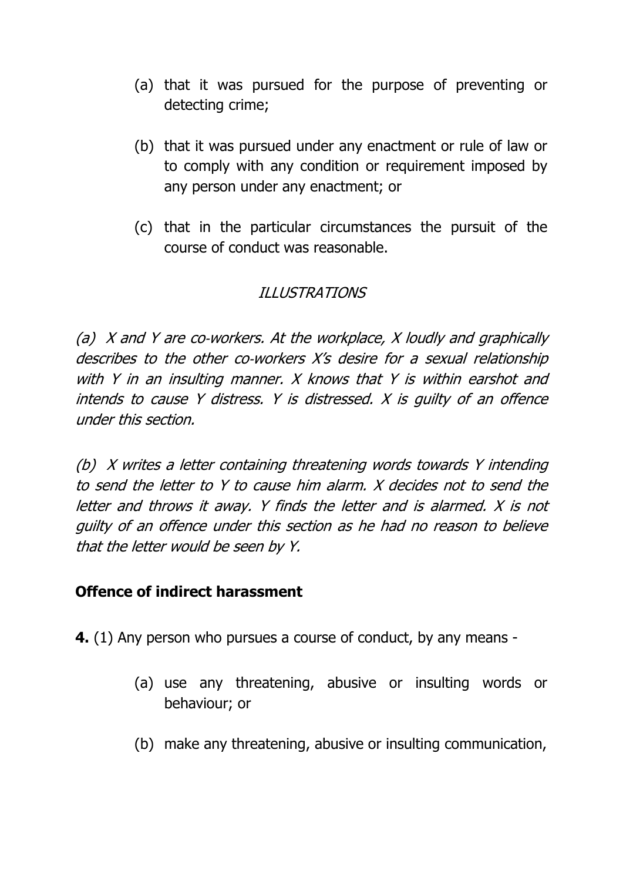- (a) that it was pursued for the purpose of preventing or detecting crime;
- (b) that it was pursued under any enactment or rule of law or to comply with any condition or requirement imposed by any person under any enactment; or
- (c) that in the particular circumstances the pursuit of the course of conduct was reasonable.

# ILLUSTRATIONS

(a)  $X$  and  $Y$  are co-workers. At the workplace,  $X$  loudly and graphically describes to the other co-workers X's desire for a sexual relationship with Y in an insulting manner. X knows that Y is within earshot and intends to cause Y distress. Y is distressed. X is guilty of an offence under this section.

(b) X writes a letter containing threatening words towards Y intending to send the letter to Y to cause him alarm. X decides not to send the letter and throws it away. Y finds the letter and is alarmed. X is not guilty of an offence under this section as he had no reason to believe that the letter would be seen by Y.

## **Offence of indirect harassment**

**4.** (1) Any person who pursues a course of conduct, by any means -

- (a) use any threatening, abusive or insulting words or behaviour; or
- (b) make any threatening, abusive or insulting communication,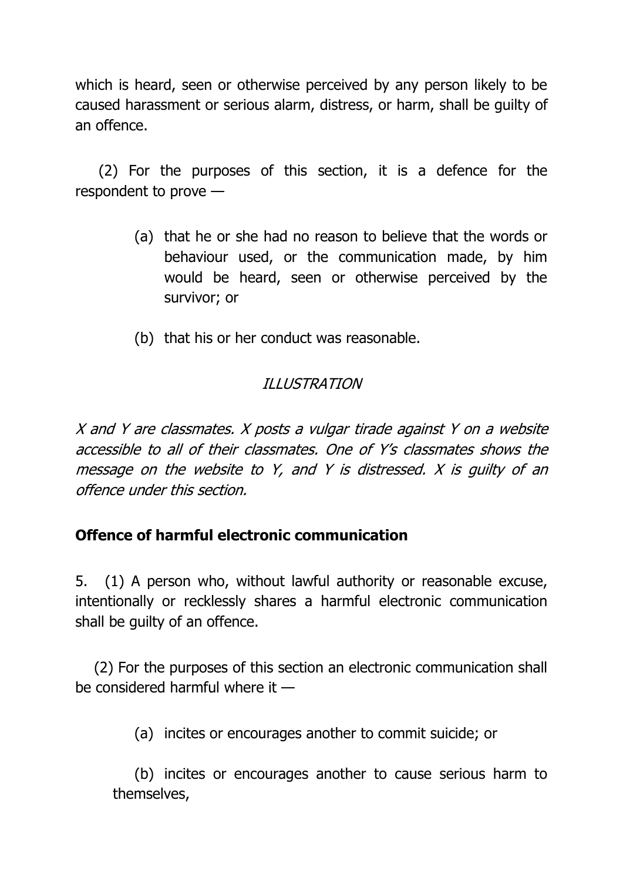which is heard, seen or otherwise perceived by any person likely to be caused harassment or serious alarm, distress, or harm, shall be guilty of an offence.

(2) For the purposes of this section, it is a defence for the respondent to prove —

- (a) that he or she had no reason to believe that the words or behaviour used, or the communication made, by him would be heard, seen or otherwise perceived by the survivor; or
- (b) that his or her conduct was reasonable.

# ILLUSTRATION

X and Y are classmates. X posts a vulgar tirade against Y on a website accessible to all of their classmates. One of Y's classmates shows the message on the website to Y, and Y is distressed. X is guilty of an offence under this section.

## **Offence of harmful electronic communication**

5. (1) A person who, without lawful authority or reasonable excuse, intentionally or recklessly shares a harmful electronic communication shall be guilty of an offence.

(2) For the purposes of this section an electronic communication shall be considered harmful where it —

(a) incites or encourages another to commit suicide; or

(b) incites or encourages another to cause serious harm to themselves,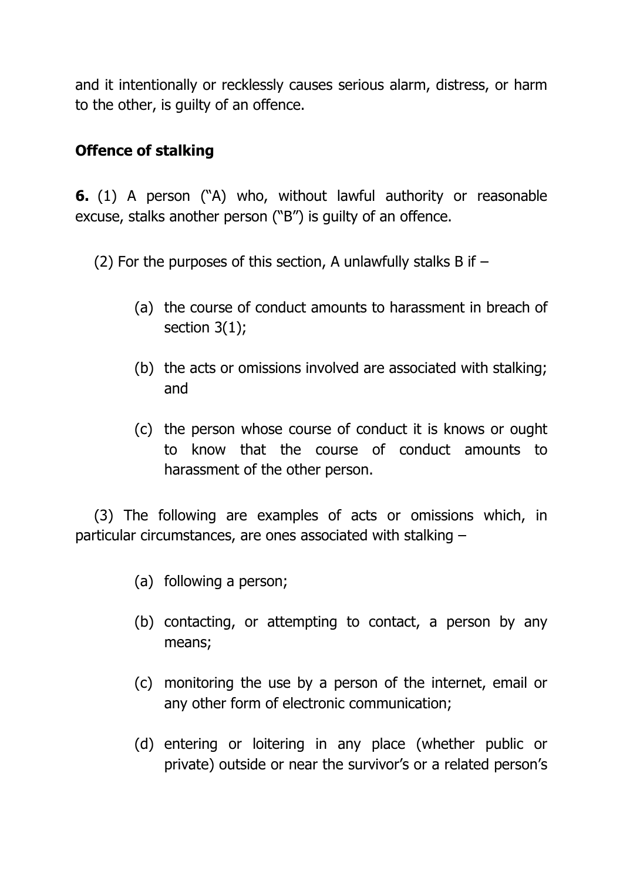and it intentionally or recklessly causes serious alarm, distress, or harm to the other, is guilty of an offence.

## **Offence of stalking**

**6.** (1) A person ("A) who, without lawful authority or reasonable excuse, stalks another person ("B") is guilty of an offence.

- (2) For the purposes of this section, A unlawfully stalks B if  $-$ 
	- (a) the course of conduct amounts to harassment in breach of section 3(1);
	- (b) the acts or omissions involved are associated with stalking; and
	- (c) the person whose course of conduct it is knows or ought to know that the course of conduct amounts to harassment of the other person.

(3) The following are examples of acts or omissions which, in particular circumstances, are ones associated with stalking –

- (a) following a person;
- (b) contacting, or attempting to contact, a person by any means;
- (c) monitoring the use by a person of the internet, email or any other form of electronic communication;
- (d) entering or loitering in any place (whether public or private) outside or near the survivor's or a related person's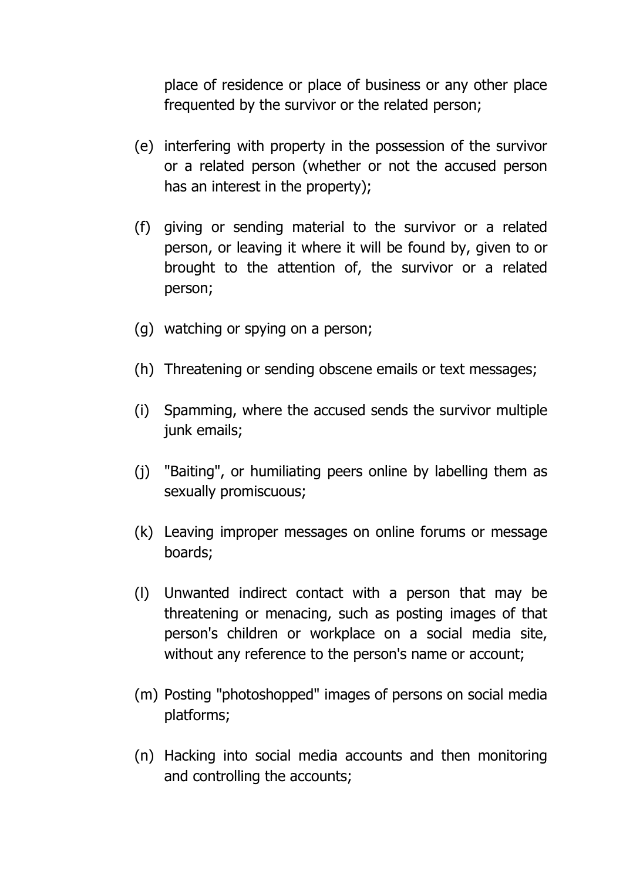place of residence or place of business or any other place frequented by the survivor or the related person;

- (e) interfering with property in the possession of the survivor or a related person (whether or not the accused person has an interest in the property);
- (f) giving or sending material to the survivor or a related person, or leaving it where it will be found by, given to or brought to the attention of, the survivor or a related person;
- (g) watching or spying on a person;
- (h) Threatening or sending obscene emails or text messages;
- (i) Spamming, where the accused sends the survivor multiple junk emails;
- (j) "Baiting", or humiliating peers online by labelling them as sexually promiscuous;
- (k) Leaving improper messages on online forums or message boards;
- (l) Unwanted indirect contact with a person that may be threatening or menacing, such as posting images of that person's children or workplace on a social media site, without any reference to the person's name or account;
- (m) Posting "photoshopped" images of persons on social media platforms;
- (n) Hacking into social media accounts and then monitoring and controlling the accounts;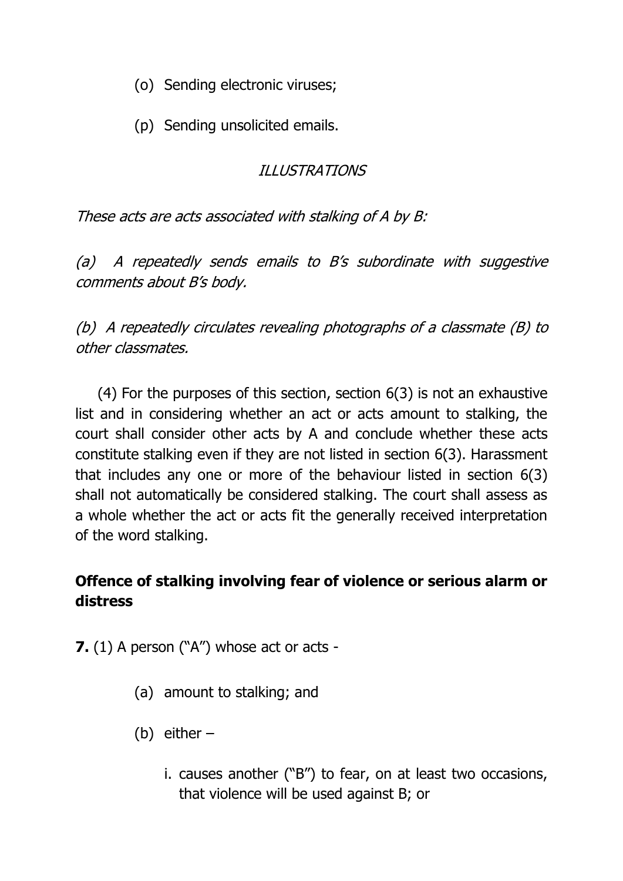- (o) Sending electronic viruses;
- (p) Sending unsolicited emails.

# ILLUSTRATIONS

These acts are acts associated with stalking of A by B:

(a) A repeatedly sends emails to B's subordinate with suggestive comments about B's body.

(b) A repeatedly circulates revealing photographs of a classmate (B) to other classmates.

(4) For the purposes of this section, section 6(3) is not an exhaustive list and in considering whether an act or acts amount to stalking, the court shall consider other acts by A and conclude whether these acts constitute stalking even if they are not listed in section 6(3). Harassment that includes any one or more of the behaviour listed in section 6(3) shall not automatically be considered stalking. The court shall assess as a whole whether the act or acts fit the generally received interpretation of the word stalking.

# **Offence of stalking involving fear of violence or serious alarm or distress**

**7.** (1) A person ("A") whose act or acts -

- (a) amount to stalking; and
- (b) either
	- i. causes another ("B") to fear, on at least two occasions, that violence will be used against B; or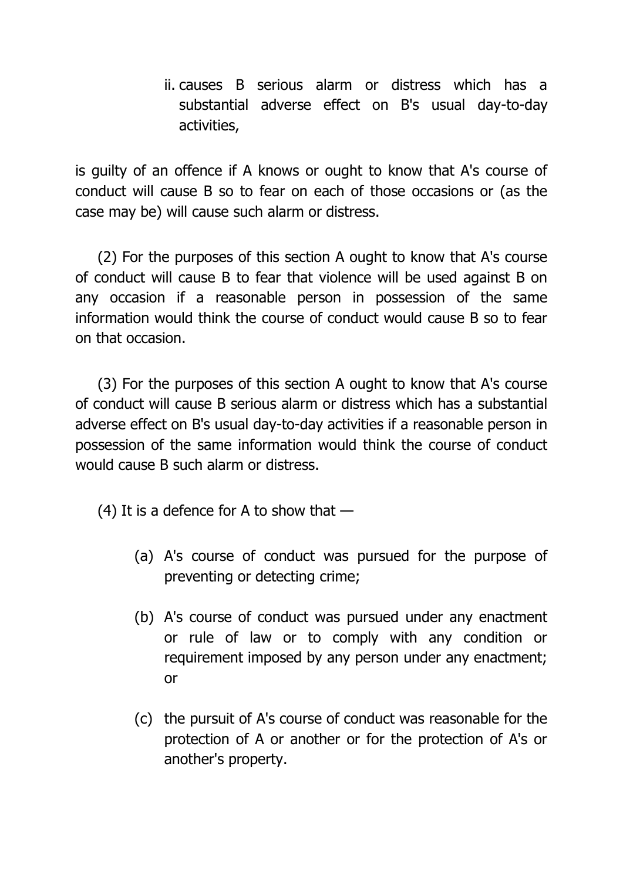ii. causes B serious alarm or distress which has a substantial adverse effect on B's usual day-to-day activities,

is guilty of an offence if A knows or ought to know that A's course of conduct will cause B so to fear on each of those occasions or (as the case may be) will cause such alarm or distress.

(2) For the purposes of this section A ought to know that A's course of conduct will cause B to fear that violence will be used against B on any occasion if a reasonable person in possession of the same information would think the course of conduct would cause B so to fear on that occasion.

(3) For the purposes of this section A ought to know that A's course of conduct will cause B serious alarm or distress which has a substantial adverse effect on B's usual day-to-day activities if a reasonable person in possession of the same information would think the course of conduct would cause B such alarm or distress.

(4) It is a defence for A to show that  $-$ 

- (a) A's course of conduct was pursued for the purpose of preventing or detecting crime;
- (b) A's course of conduct was pursued under any enactment or rule of law or to comply with any condition or requirement imposed by any person under any enactment; or
- (c) the pursuit of A's course of conduct was reasonable for the protection of A or another or for the protection of A's or another's property.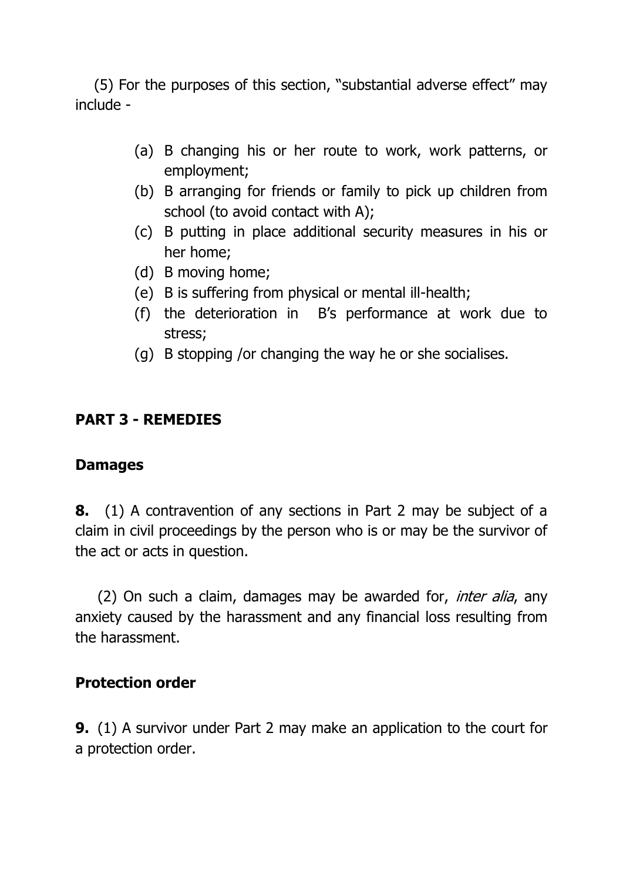(5) For the purposes of this section, "substantial adverse effect" may include -

- (a) B changing his or her route to work, work patterns, or employment;
- (b) B arranging for friends or family to pick up children from school (to avoid contact with A);
- (c) B putting in place additional security measures in his or her home;
- (d) B moving home;
- (e) B is suffering from physical or mental ill-health;
- (f) the deterioration in B's performance at work due to stress;
- (g) B stopping /or changing the way he or she socialises.

### **PART 3 - REMEDIES**

### **Damages**

**8.** (1) A contravention of any sections in Part 2 may be subject of a claim in civil proceedings by the person who is or may be the survivor of the act or acts in question.

(2) On such a claim, damages may be awarded for, *inter alia*, any anxiety caused by the harassment and any financial loss resulting from the harassment.

### **Protection order**

**9.** (1) A survivor under Part 2 may make an application to the court for a protection order.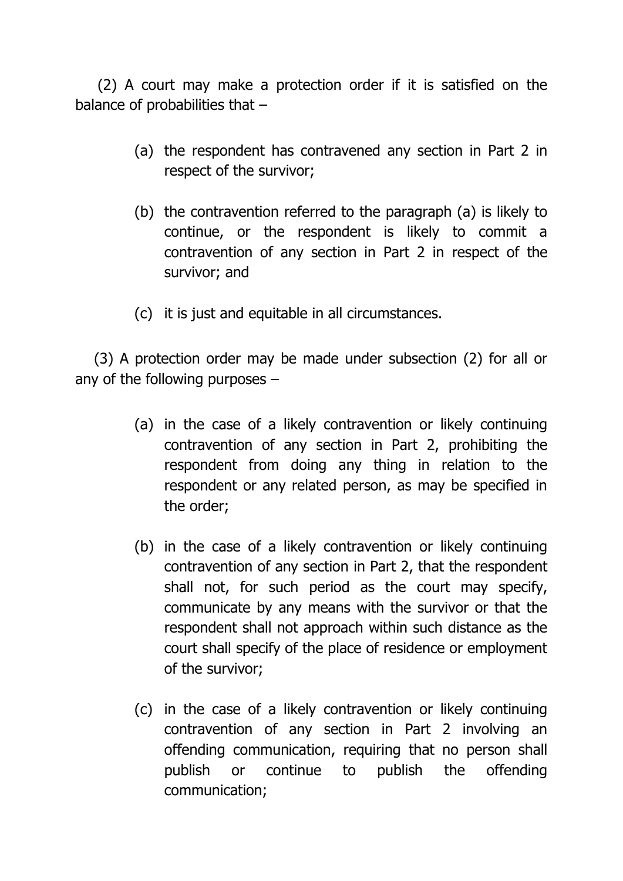(2) A court may make a protection order if it is satisfied on the balance of probabilities that –

- (a) the respondent has contravened any section in Part 2 in respect of the survivor;
- (b) the contravention referred to the paragraph (a) is likely to continue, or the respondent is likely to commit a contravention of any section in Part 2 in respect of the survivor; and
- (c) it is just and equitable in all circumstances.

(3) A protection order may be made under subsection (2) for all or any of the following purposes –

- (a) in the case of a likely contravention or likely continuing contravention of any section in Part 2, prohibiting the respondent from doing any thing in relation to the respondent or any related person, as may be specified in the order;
- (b) in the case of a likely contravention or likely continuing contravention of any section in Part 2, that the respondent shall not, for such period as the court may specify, communicate by any means with the survivor or that the respondent shall not approach within such distance as the court shall specify of the place of residence or employment of the survivor;
- (c) in the case of a likely contravention or likely continuing contravention of any section in Part 2 involving an offending communication, requiring that no person shall publish or continue to publish the offending communication;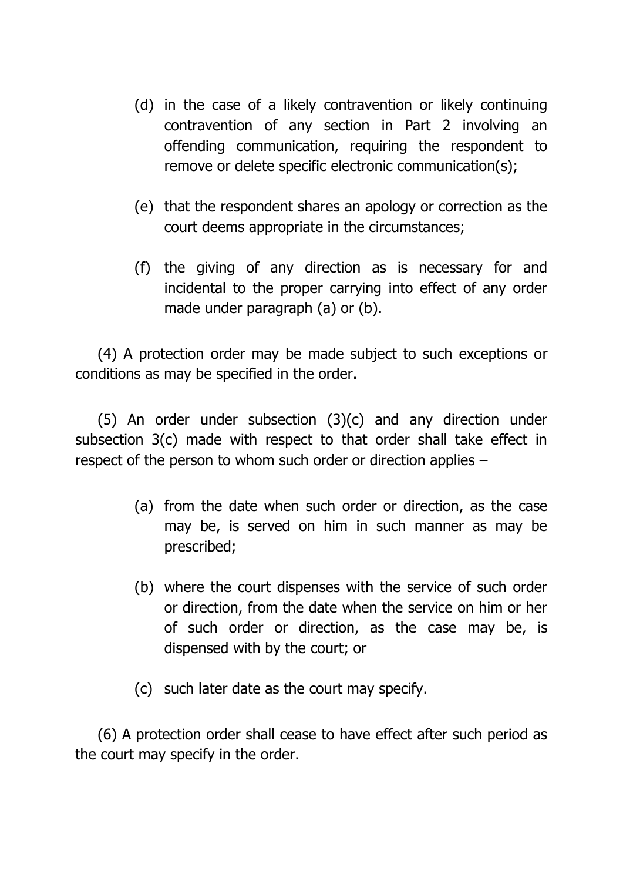- (d) in the case of a likely contravention or likely continuing contravention of any section in Part 2 involving an offending communication, requiring the respondent to remove or delete specific electronic communication(s);
- (e) that the respondent shares an apology or correction as the court deems appropriate in the circumstances;
- (f) the giving of any direction as is necessary for and incidental to the proper carrying into effect of any order made under paragraph (a) or (b).

(4) A protection order may be made subject to such exceptions or conditions as may be specified in the order.

(5) An order under subsection (3)(c) and any direction under subsection 3(c) made with respect to that order shall take effect in respect of the person to whom such order or direction applies –

- (a) from the date when such order or direction, as the case may be, is served on him in such manner as may be prescribed;
- (b) where the court dispenses with the service of such order or direction, from the date when the service on him or her of such order or direction, as the case may be, is dispensed with by the court; or
- (c) such later date as the court may specify.

(6) A protection order shall cease to have effect after such period as the court may specify in the order.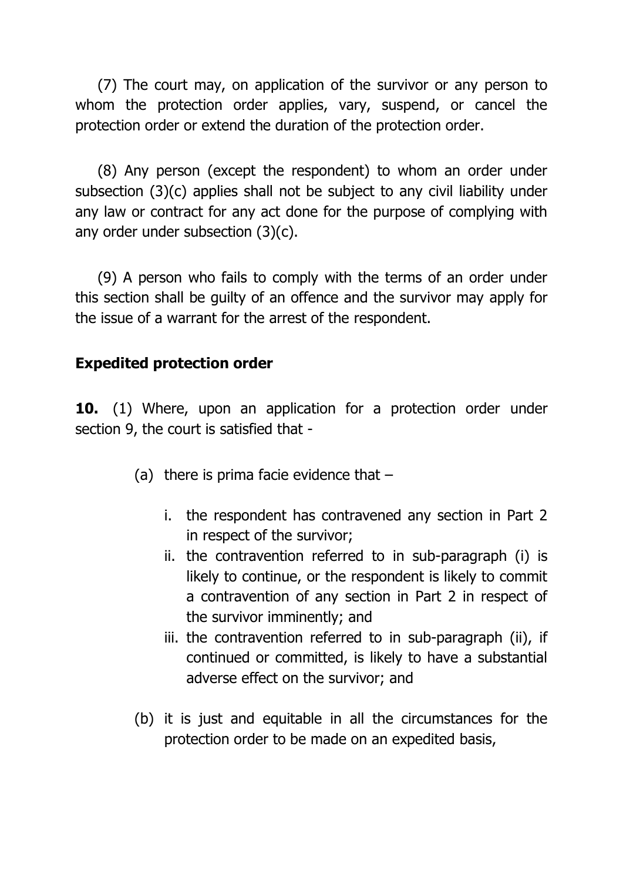(7) The court may, on application of the survivor or any person to whom the protection order applies, vary, suspend, or cancel the protection order or extend the duration of the protection order.

(8) Any person (except the respondent) to whom an order under subsection (3)(c) applies shall not be subject to any civil liability under any law or contract for any act done for the purpose of complying with any order under subsection (3)(c).

(9) A person who fails to comply with the terms of an order under this section shall be guilty of an offence and the survivor may apply for the issue of a warrant for the arrest of the respondent.

# **Expedited protection order**

**10.** (1) Where, upon an application for a protection order under section 9, the court is satisfied that -

- (a) there is prima facie evidence that  $$ 
	- i. the respondent has contravened any section in Part 2 in respect of the survivor;
	- ii. the contravention referred to in sub-paragraph (i) is likely to continue, or the respondent is likely to commit a contravention of any section in Part 2 in respect of the survivor imminently; and
	- iii. the contravention referred to in sub-paragraph (ii), if continued or committed, is likely to have a substantial adverse effect on the survivor; and
- (b) it is just and equitable in all the circumstances for the protection order to be made on an expedited basis,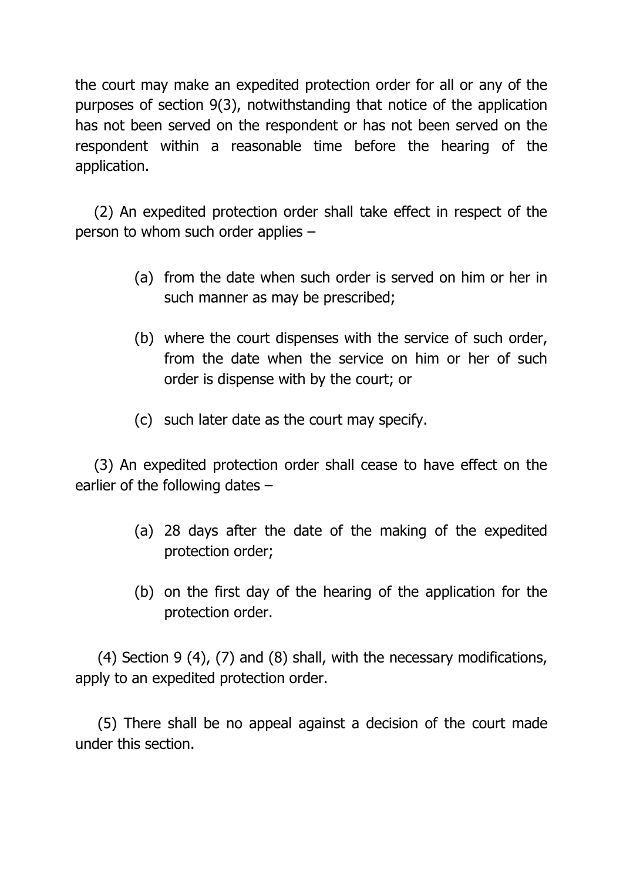the court may make an expedited protection order for all or any of the purposes of section 9(3), notwithstanding that notice of the application has not been served on the respondent or has not been served on the respondent within a reasonable time before the hearing of the application.

(2) An expedited protection order shall take effect in respect of the person to whom such order applies –

- (a) from the date when such order is served on him or her in such manner as may be prescribed;
- (b) where the court dispenses with the service of such order, from the date when the service on him or her of such order is dispense with by the court; or
- (c) such later date as the court may specify.

(3) An expedited protection order shall cease to have effect on the earlier of the following dates –

- (a) 28 days after the date of the making of the expedited protection order;
- (b) on the first day of the hearing of the application for the protection order.

(4) Section 9 (4), (7) and (8) shall, with the necessary modifications, apply to an expedited protection order.

(5) There shall be no appeal against a decision of the court made under this section.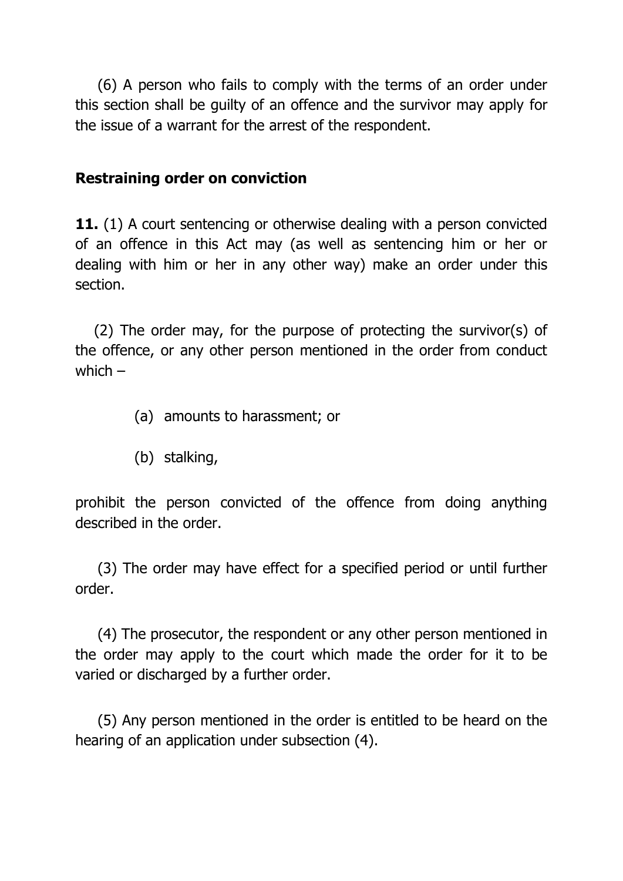(6) A person who fails to comply with the terms of an order under this section shall be guilty of an offence and the survivor may apply for the issue of a warrant for the arrest of the respondent.

### **Restraining order on conviction**

**11.** (1) A court sentencing or otherwise dealing with a person convicted of an offence in this Act may (as well as sentencing him or her or dealing with him or her in any other way) make an order under this section.

(2) The order may, for the purpose of protecting the survivor(s) of the offence, or any other person mentioned in the order from conduct which –

- (a) amounts to harassment; or
- (b) stalking,

prohibit the person convicted of the offence from doing anything described in the order.

(3) The order may have effect for a specified period or until further order.

(4) The prosecutor, the respondent or any other person mentioned in the order may apply to the court which made the order for it to be varied or discharged by a further order.

(5) Any person mentioned in the order is entitled to be heard on the hearing of an application under subsection (4).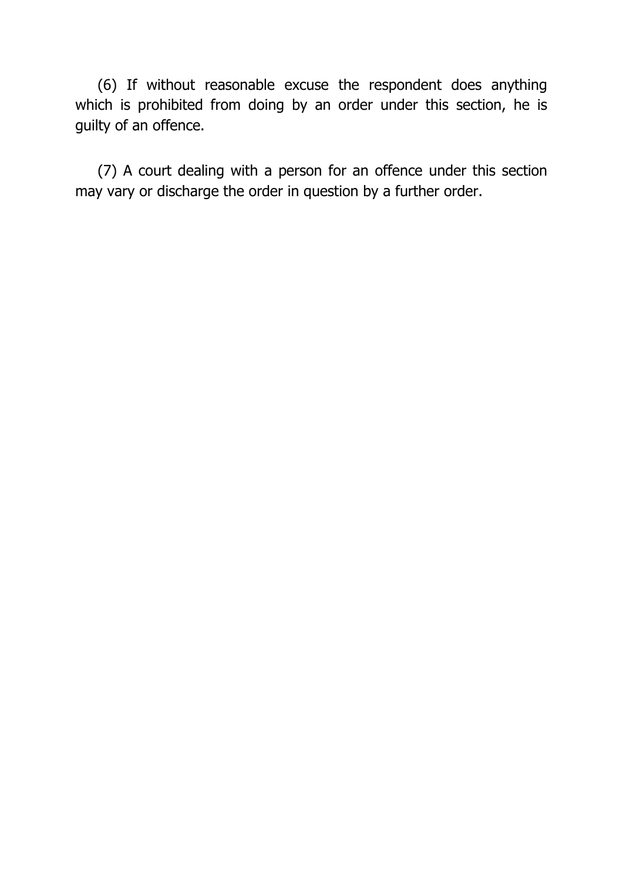(6) If without reasonable excuse the respondent does anything which is prohibited from doing by an order under this section, he is guilty of an offence.

(7) A court dealing with a person for an offence under this section may vary or discharge the order in question by a further order.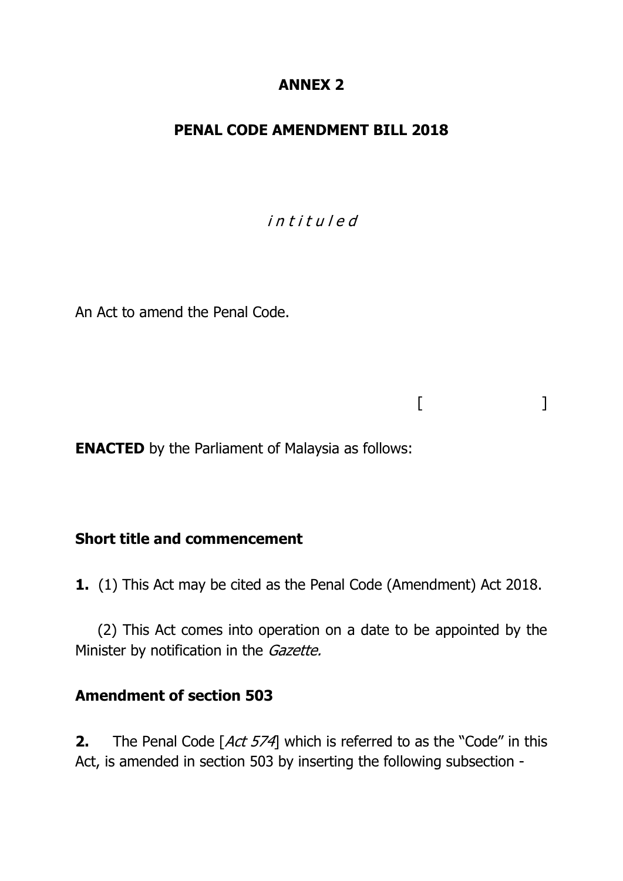## **ANNEX 2**

### **PENAL CODE AMENDMENT BILL 2018**

i n t i t u l e d

 $[$   $]$ 

An Act to amend the Penal Code.

**ENACTED** by the Parliament of Malaysia as follows:

### **Short title and commencement**

**1.** (1) This Act may be cited as the Penal Code (Amendment) Act 2018.

(2) This Act comes into operation on a date to be appointed by the Minister by notification in the Gazette.

### **Amendment of section 503**

**2.** The Penal Code [Act 574] which is referred to as the "Code" in this Act, is amended in section 503 by inserting the following subsection -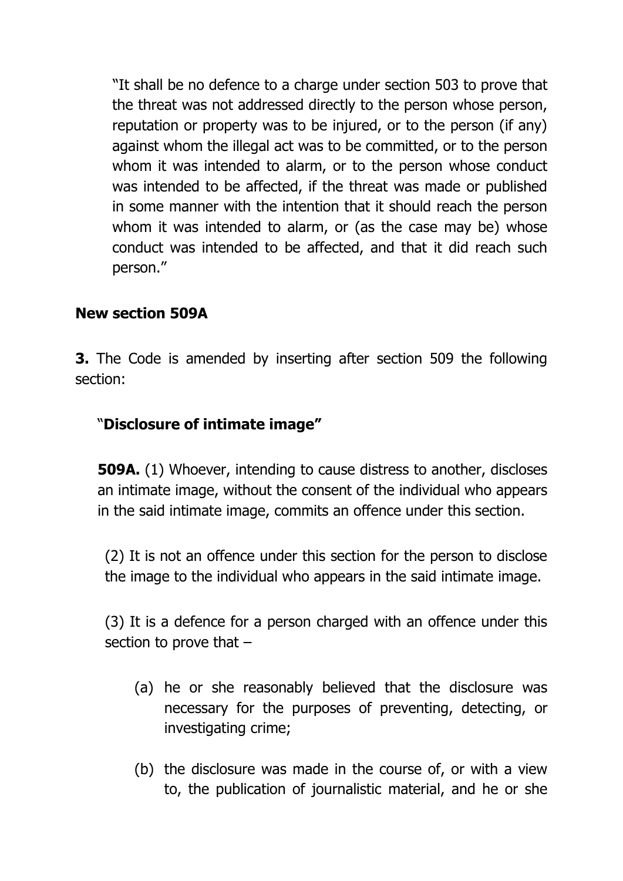"It shall be no defence to a charge under section 503 to prove that the threat was not addressed directly to the person whose person, reputation or property was to be injured, or to the person (if any) against whom the illegal act was to be committed, or to the person whom it was intended to alarm, or to the person whose conduct was intended to be affected, if the threat was made or published in some manner with the intention that it should reach the person whom it was intended to alarm, or (as the case may be) whose conduct was intended to be affected, and that it did reach such person."

# **New section 509A**

**3.** The Code is amended by inserting after section 509 the following section:

# "**Disclosure of intimate image"**

**509A.** (1) Whoever, intending to cause distress to another, discloses an intimate image, without the consent of the individual who appears in the said intimate image, commits an offence under this section.

(2) It is not an offence under this section for the person to disclose the image to the individual who appears in the said intimate image.

(3) It is a defence for a person charged with an offence under this section to prove that –

- (a) he or she reasonably believed that the disclosure was necessary for the purposes of preventing, detecting, or investigating crime;
- (b) the disclosure was made in the course of, or with a view to, the publication of journalistic material, and he or she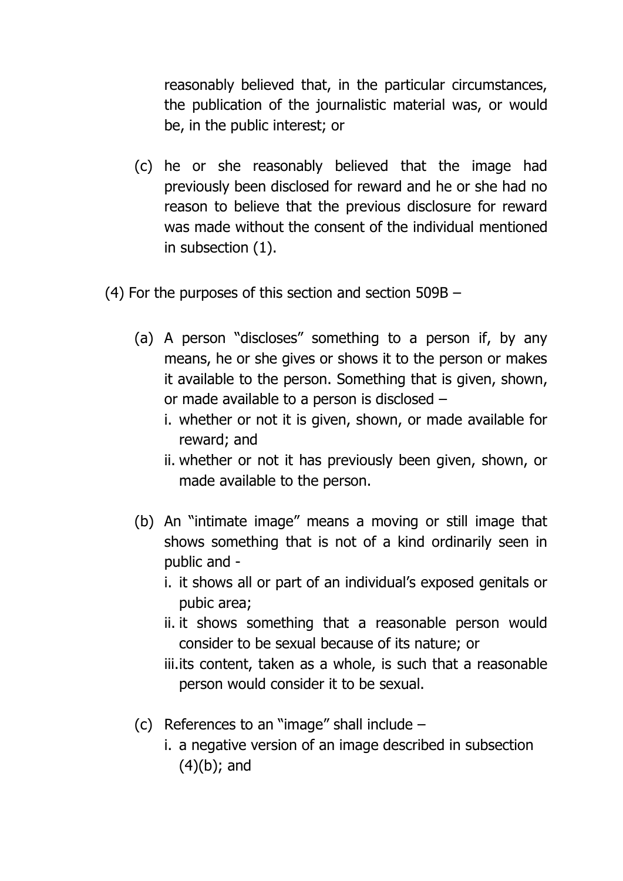reasonably believed that, in the particular circumstances, the publication of the journalistic material was, or would be, in the public interest; or

- (c) he or she reasonably believed that the image had previously been disclosed for reward and he or she had no reason to believe that the previous disclosure for reward was made without the consent of the individual mentioned in subsection (1).
- (4) For the purposes of this section and section 509B
	- (a) A person "discloses" something to a person if, by any means, he or she gives or shows it to the person or makes it available to the person. Something that is given, shown, or made available to a person is disclosed –
		- i. whether or not it is given, shown, or made available for reward; and
		- ii. whether or not it has previously been given, shown, or made available to the person.
	- (b) An "intimate image" means a moving or still image that shows something that is not of a kind ordinarily seen in public and
		- i. it shows all or part of an individual's exposed genitals or pubic area;
		- ii. it shows something that a reasonable person would consider to be sexual because of its nature; or
		- iii.its content, taken as a whole, is such that a reasonable person would consider it to be sexual.
	- (c) References to an "image" shall include
		- i. a negative version of an image described in subsection (4)(b); and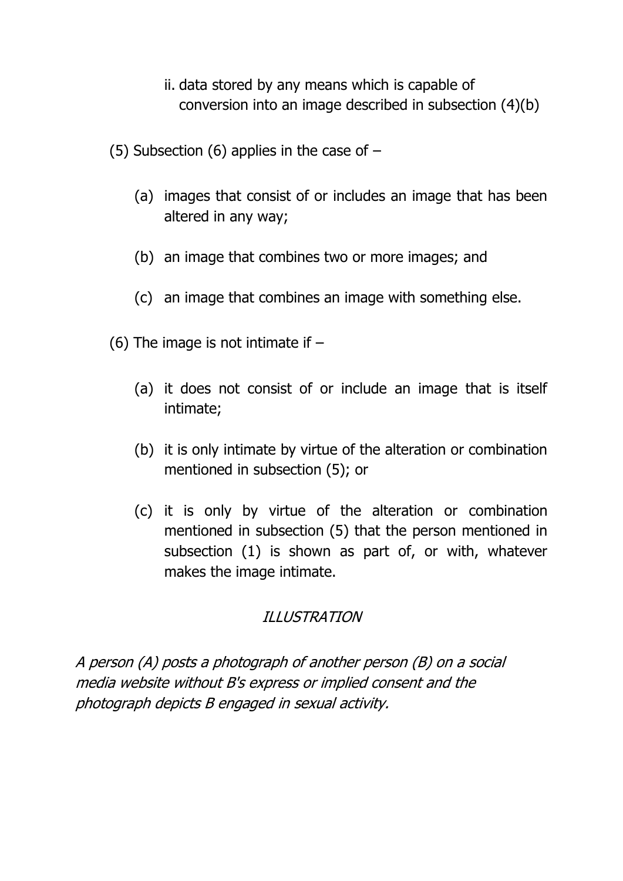- ii. data stored by any means which is capable of conversion into an image described in subsection (4)(b)
- (5) Subsection (6) applies in the case of  $-$ 
	- (a) images that consist of or includes an image that has been altered in any way;
	- (b) an image that combines two or more images; and
	- (c) an image that combines an image with something else.
- (6) The image is not intimate if  $-$ 
	- (a) it does not consist of or include an image that is itself intimate;
	- (b) it is only intimate by virtue of the alteration or combination mentioned in subsection (5); or
	- (c) it is only by virtue of the alteration or combination mentioned in subsection (5) that the person mentioned in subsection (1) is shown as part of, or with, whatever makes the image intimate.

## ILLUSTRATION

A person (A) posts a photograph of another person (B) on a social media website without B's express or implied consent and the photograph depicts B engaged in sexual activity.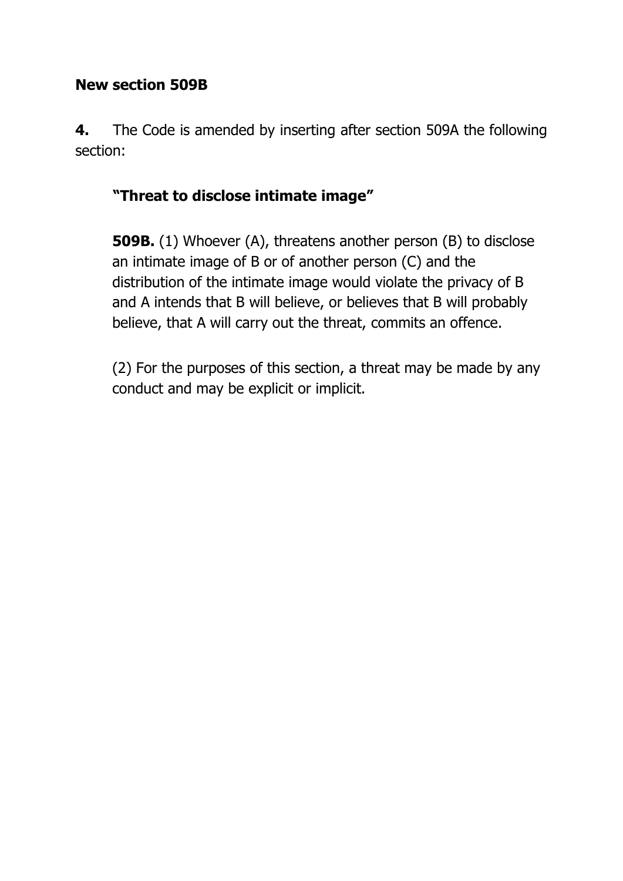# **New section 509B**

**4.** The Code is amended by inserting after section 509A the following section:

# **"Threat to disclose intimate image"**

**509B.** (1) Whoever (A), threatens another person (B) to disclose an intimate image of B or of another person (C) and the distribution of the intimate image would violate the privacy of B and A intends that B will believe, or believes that B will probably believe, that A will carry out the threat, commits an offence.

(2) For the purposes of this section, a threat may be made by any conduct and may be explicit or implicit.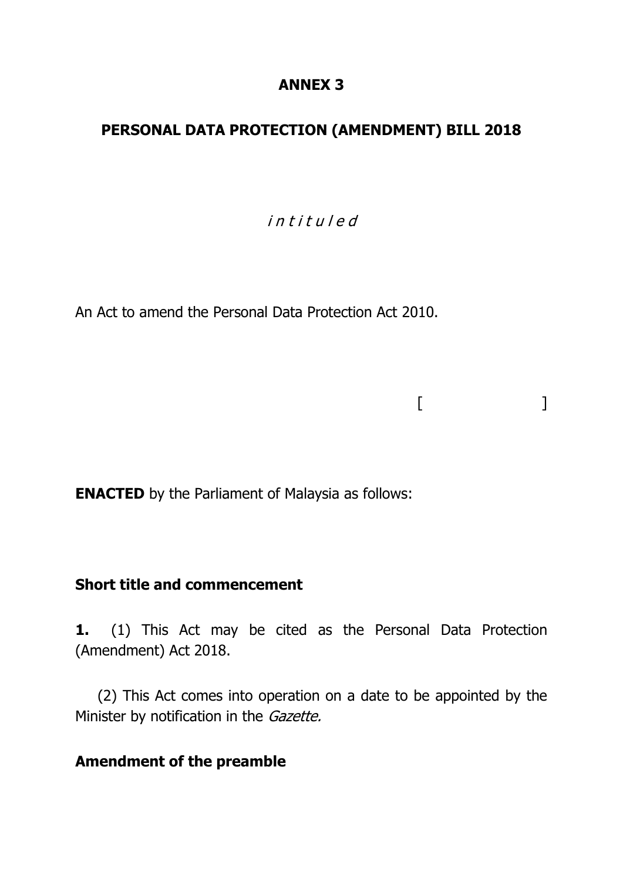### **ANNEX 3**

## **PERSONAL DATA PROTECTION (AMENDMENT) BILL 2018**

# i n t i t u l e d

 $[$   $]$ 

An Act to amend the Personal Data Protection Act 2010.

**ENACTED** by the Parliament of Malaysia as follows:

### **Short title and commencement**

**1.** (1) This Act may be cited as the Personal Data Protection (Amendment) Act 2018.

(2) This Act comes into operation on a date to be appointed by the Minister by notification in the Gazette.

### **Amendment of the preamble**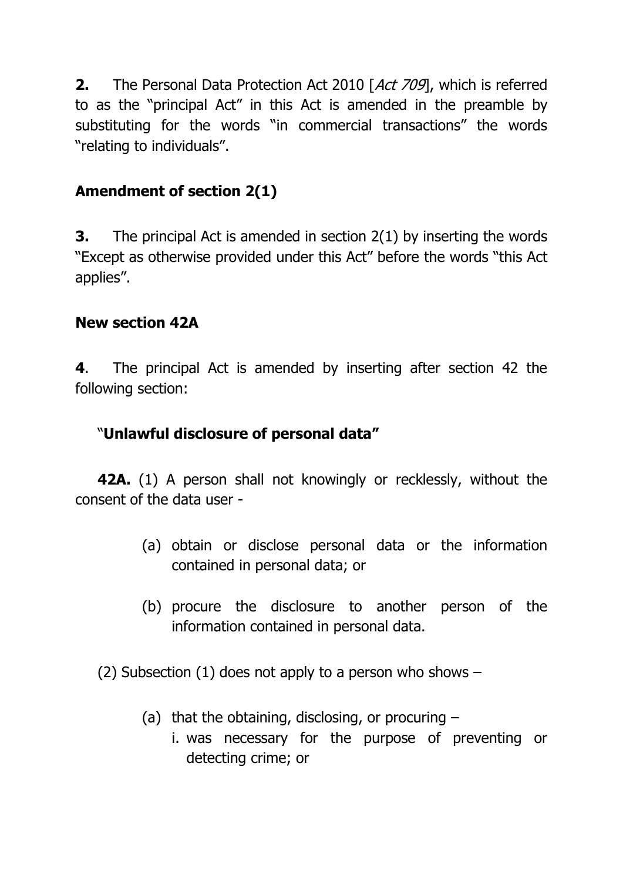**2.** The Personal Data Protection Act 2010 [Act 709], which is referred to as the "principal Act" in this Act is amended in the preamble by substituting for the words "in commercial transactions" the words "relating to individuals".

# **Amendment of section 2(1)**

**3.** The principal Act is amended in section 2(1) by inserting the words "Except as otherwise provided under this Act" before the words "this Act applies".

# **New section 42A**

**4**. The principal Act is amended by inserting after section 42 the following section:

# "**Unlawful disclosure of personal data"**

**42A.** (1) A person shall not knowingly or recklessly, without the consent of the data user -

- (a) obtain or disclose personal data or the information contained in personal data; or
- (b) procure the disclosure to another person of the information contained in personal data.

(2) Subsection (1) does not apply to a person who shows  $-$ 

- (a) that the obtaining, disclosing, or procuring  $$ 
	- i. was necessary for the purpose of preventing or detecting crime; or